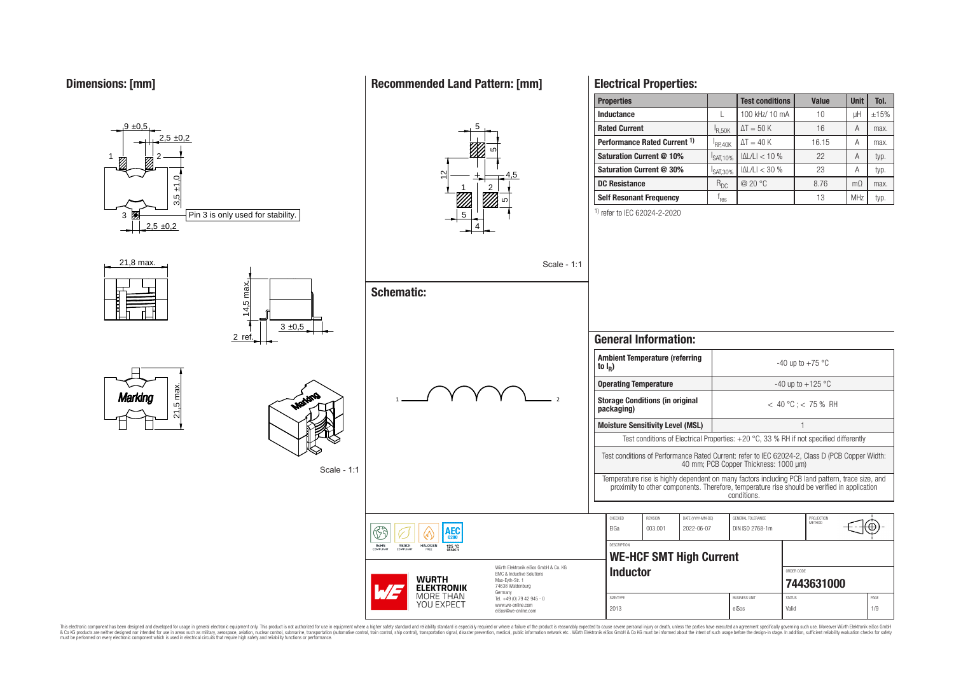

## **Electrical Properties:**

| <b>Properties</b>                       |                    | <b>Test conditions</b> | <b>Value</b> | <b>Unit</b>    | Tol. |
|-----------------------------------------|--------------------|------------------------|--------------|----------------|------|
| Inductance                              |                    | 100 kHz/ 10 mA         | 10           | μH             | ±15% |
| <b>Rated Current</b>                    | <sup>1</sup> R.50K | $\Delta T = 50$ K      | 16           | A              | max. |
| Performance Rated Current <sup>1)</sup> | RP.40K             | $\Delta T = 40 K$      | 16.15        | А              | max. |
| Saturation Current @ 10%                | SAT, 10%           | $ \Delta L/L  < 10$ %  | 22           | A              | typ. |
| Saturation Current @ 30%                | SAT.30%            | $ \Delta L/L  < 30$ %  | 23           | А              | typ. |
| <b>DC Resistance</b>                    | $R_{DC}$           | @ 20 °C                | 8.76         | m <sub>O</sub> | max. |
| <b>Self Resonant Frequency</b>          | res                |                        | 13           | <b>MHz</b>     | typ. |

1) refer to IEC 62024-2-2020

|                                      | to $I_{\rm p}$ )                                                                                                                        | <b>Ambient Temperature (referring</b>   |                                 |                                                                                                                                                                                                                 | -40 up to $+75$ °C  |                      |      |  |
|--------------------------------------|-----------------------------------------------------------------------------------------------------------------------------------------|-----------------------------------------|---------------------------------|-----------------------------------------------------------------------------------------------------------------------------------------------------------------------------------------------------------------|---------------------|----------------------|------|--|
|                                      |                                                                                                                                         | <b>Operating Temperature</b>            |                                 |                                                                                                                                                                                                                 | -40 up to $+125$ °C |                      |      |  |
|                                      | packaging)                                                                                                                              | <b>Storage Conditions (in original</b>  |                                 | $< 40 °C : < 75 %$ RH                                                                                                                                                                                           |                     |                      |      |  |
|                                      |                                                                                                                                         | <b>Moisture Sensitivity Level (MSL)</b> |                                 |                                                                                                                                                                                                                 |                     |                      |      |  |
|                                      | Test conditions of Electrical Properties: $+20$ °C, 33 % RH if not specified differently                                                |                                         |                                 |                                                                                                                                                                                                                 |                     |                      |      |  |
|                                      | Test conditions of Performance Rated Current: refer to IEC 62024-2, Class D (PCB Copper Width:<br>40 mm; PCB Copper Thickness: 1000 µm) |                                         |                                 |                                                                                                                                                                                                                 |                     |                      |      |  |
|                                      |                                                                                                                                         |                                         |                                 | Temperature rise is highly dependent on many factors including PCB land pattern, trace size, and<br>proximity to other components. Therefore, temperature rise should be verified in application<br>conditions. |                     |                      |      |  |
|                                      |                                                                                                                                         |                                         |                                 |                                                                                                                                                                                                                 |                     |                      |      |  |
|                                      | CHECKED<br><b>FIGa</b>                                                                                                                  | <b>REVISION</b><br>003.001              | DATE (YYYY-MM-DD)<br>2022-06-07 | GENERAL TOLERANCE<br>DIN ISO 2768-1m                                                                                                                                                                            |                     | PROJECTION<br>METHOD |      |  |
|                                      | <b>DESCRIPTION</b>                                                                                                                      | <b>WE-HCF SMT High Current</b>          |                                 |                                                                                                                                                                                                                 |                     |                      |      |  |
| Würth Flektronik eiSos GmbH & Co. KG | <b>Inductor</b>                                                                                                                         |                                         |                                 |                                                                                                                                                                                                                 | ORDER CODE          | 7443631000           |      |  |
|                                      | SIZE/TYPE                                                                                                                               |                                         |                                 | <b>BLISINESS LINIT</b>                                                                                                                                                                                          | <b>STATUS</b>       |                      | PAGE |  |
|                                      | 2013                                                                                                                                    |                                         |                                 |                                                                                                                                                                                                                 |                     | 1/9<br>Valid         |      |  |

This electronic component has been designed and developed for usage in general electronic equipment only. This product is not authorized for subserved requipment where a higher selection equipment where a higher selection

**Recommended Land Pattern: [mm]**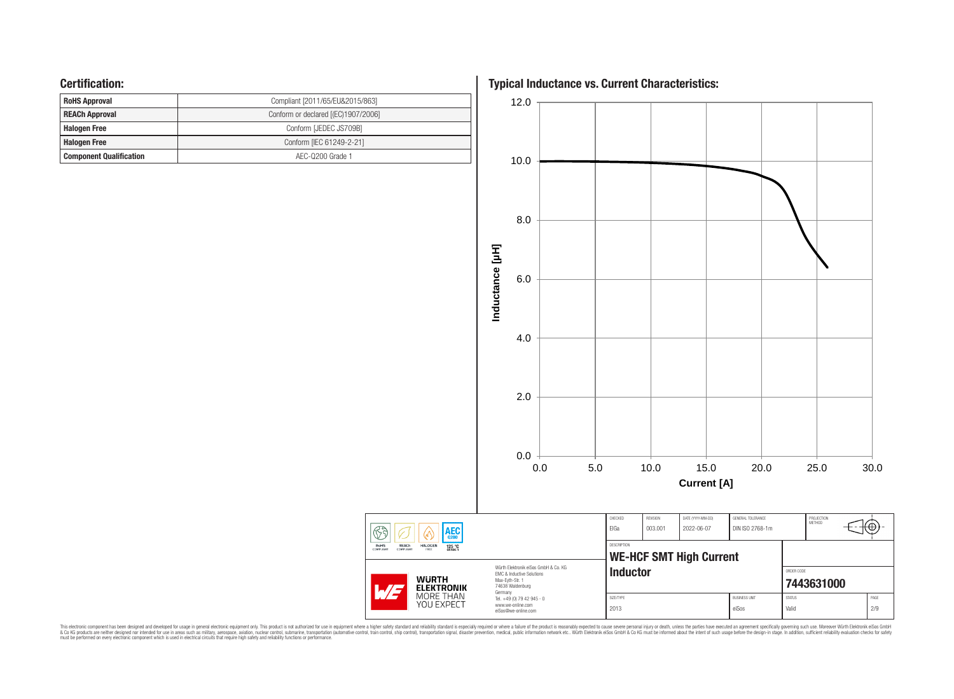## **Certification:**

| <b>RoHS Approval</b>           | Compliant [2011/65/EU&2015/863]     |
|--------------------------------|-------------------------------------|
| <b>REACh Approval</b>          | Conform or declared [(EC)1907/2006] |
| <b>Halogen Free</b>            | Conform [JEDEC JS709B]              |
| <b>Halogen Free</b>            | Conform [IEC 61249-2-21]            |
| <b>Component Qualification</b> | AEC-0200 Grade 1                    |

**Typical Inductance vs. Current Characteristics:**



This electronic component has been designed and developed for usage in general electronic equipment only. This product is not authorized for subserved requipment where a higher selection equipment where a higher selection

 $\circled{3}$ 

**RoHS**<br>COMPLIANT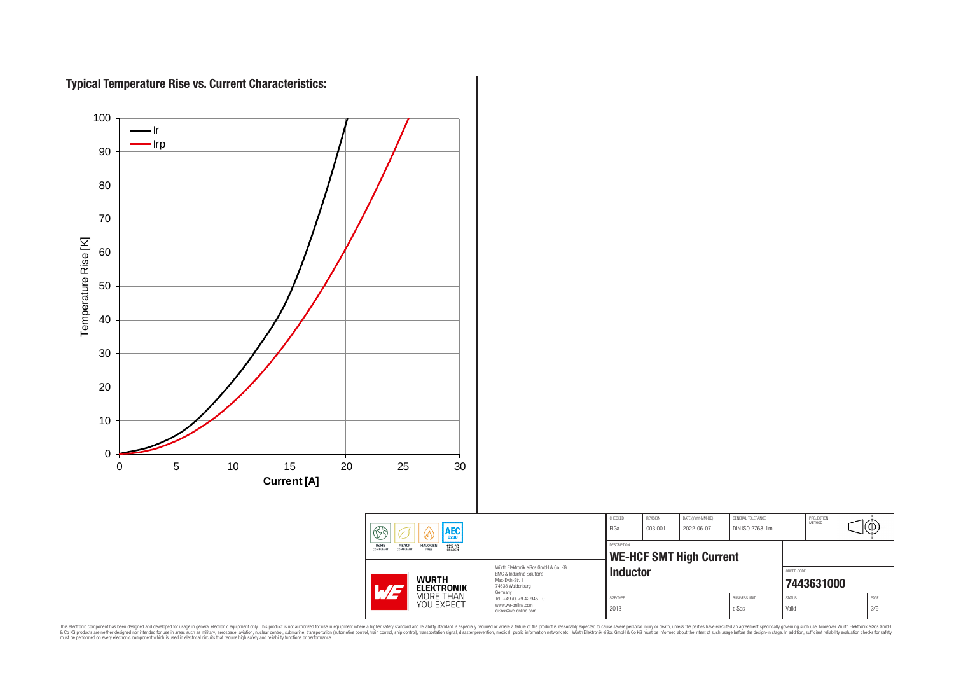# **Typical Temperature Rise vs. Current Characteristics:**

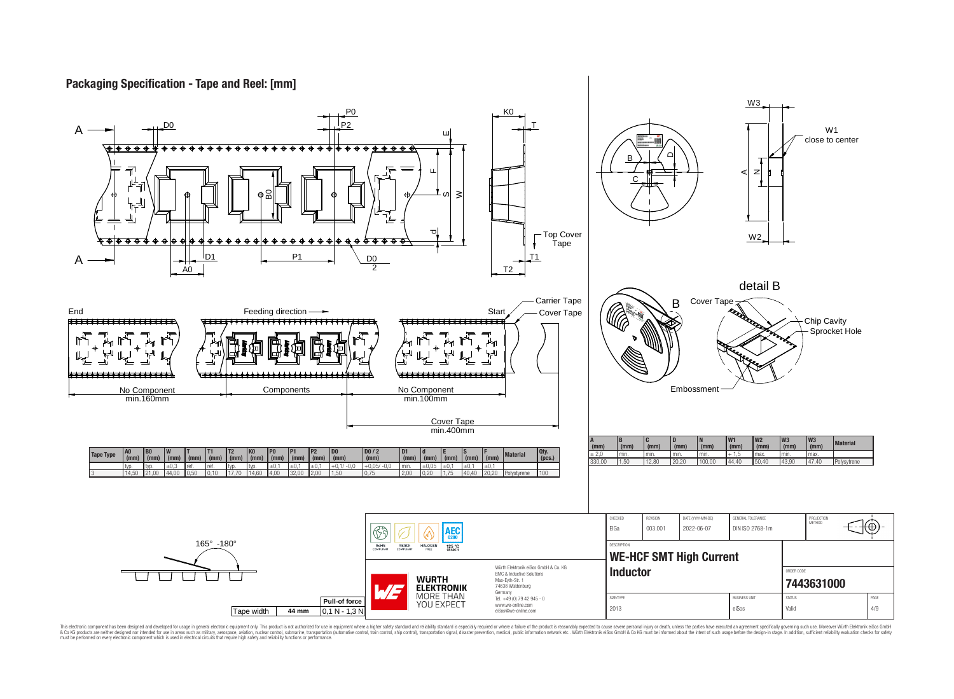## **Packaging Specification - Tape and Reel: [mm]**

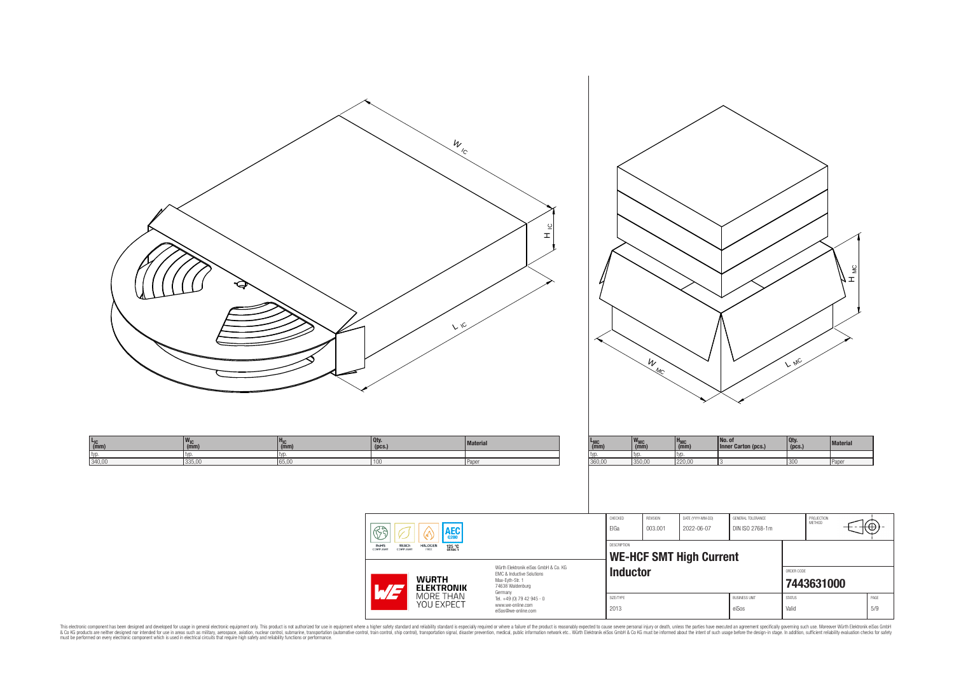| g                                                                                                         | W<br>$\frac{\omega}{\mathbf{I}}$<br>$V$ 10                                                                                                                                                                                                                                                                                                                                                                                                  | W MC                                                                                                                                                                                                                                                | $\mathop{\mathsf{S}}$<br>≖4<br>$L$ MC                                                                                 |
|-----------------------------------------------------------------------------------------------------------|---------------------------------------------------------------------------------------------------------------------------------------------------------------------------------------------------------------------------------------------------------------------------------------------------------------------------------------------------------------------------------------------------------------------------------------------|-----------------------------------------------------------------------------------------------------------------------------------------------------------------------------------------------------------------------------------------------------|-----------------------------------------------------------------------------------------------------------------------|
| $w_{IC \n(mm)}$<br>$H_{IC}$<br>(mm)<br>$L_{IC}$ (mm)<br>typ.<br>typ.<br>340,00<br>typ.<br>335,00<br>65,00 | $\left  \begin{array}{c} 0 \text{ty.} \\ \text{(pcs.)} \end{array} \right $<br><b>Material</b><br>100<br>Paper                                                                                                                                                                                                                                                                                                                              | No. of<br>Inner Carton (pcs.)<br>$w_{MC \n(mm)}$<br>$H_{MC}$ (mm)<br>$L_{MC}$ (mm)<br>typ.<br>typ.<br>typ.<br>360,00<br>350,00<br>220,00                                                                                                            | $\left  \begin{array}{l} 0 \text{ty.} \\ \text{(pcs.)} \end{array} \right $<br>Material<br>300<br>Paper               |
|                                                                                                           | $\circled{5}$<br>$AEC$ <sub>0200</sub><br>V.<br>$\begin{array}{c}\n 125 °C \\ \hline\n \text{GRADE 1}\n \end{array}$<br>RoHS<br>COMPLIANT<br>REACH<br>COMPLIANT<br>HALOGEN<br>Würth Elektronik eiSos GmbH & Co. KG<br>EMC & Inductive Solutions<br><b>WURTH<br/>ELEKTRONIK</b><br>MORE THAN<br>YOU EXPECT<br>Max-Eyth-Str. 1<br>74638 Waldenburg<br>WE<br>Germany<br>Tel. +49 (0) 79 42 945 - 0<br>www.we-online.com<br>eiSos@we-online.com | ${\sf CHECKED}$<br>REVISION<br>DATE (YYYY-MM-DD)<br>GENERAL TOLERANCE<br>EIGa<br>003.001<br>2022-06-07<br>DIN ISO 2768-1m<br>DESCRIPTION<br><b>WE-HCF SMT High Current</b><br><b>Inductor</b><br>SIZE/TYPE<br><b>BUSINESS UNIT</b><br>2013<br>eiSos | PROJECTION<br>METHOD<br>$\bigoplus \oplus$<br>ORDER CODE<br>7443631000<br>STATUS<br>$\mathsf{PAGE}$<br>$5/9$<br>Valid |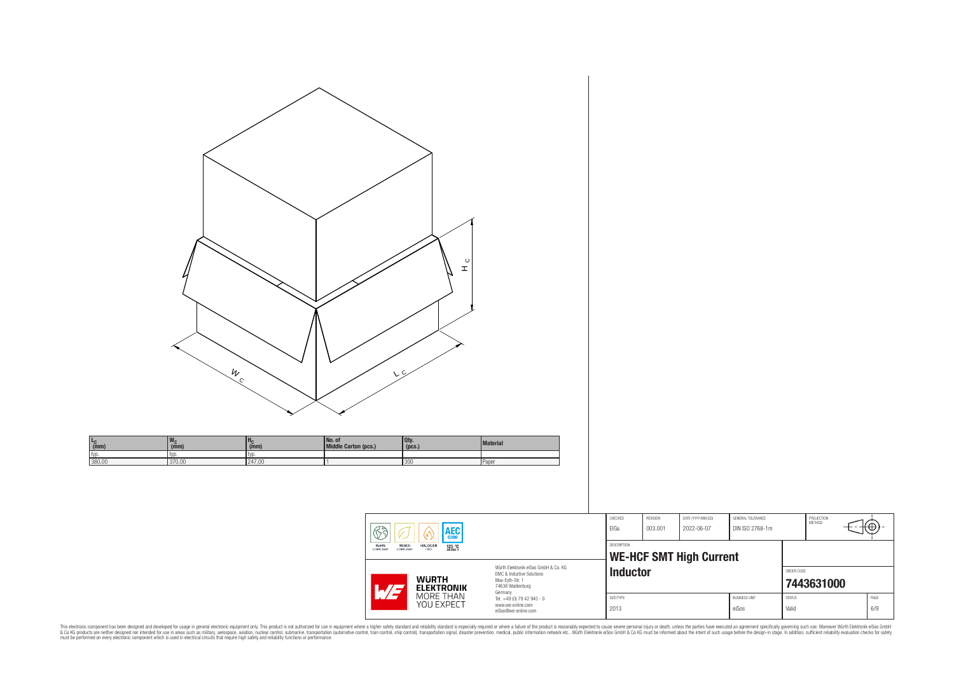| $\circ$<br>$\mathbf r$<br>$\frac{W}{C}$<br>V <sub>c</sub><br>$w_c$ <sub>(mm)</sub><br>No. of<br>Middle Carton (pcs.)<br>Qty.<br>(pcs.)<br>$H_C$ <sub>(mm)</sub><br>Material<br>$\frac{L_C}{(mm)}$<br>typ.<br>typ.<br>typ.<br>247,00<br>380,00<br>370,00<br>300<br>Paper                                                                                                                                                                                                                                                                                                                                                                                                                                                                                                                                                                                            |                                                                                                                                                                                                                                                                                                                                               |
|--------------------------------------------------------------------------------------------------------------------------------------------------------------------------------------------------------------------------------------------------------------------------------------------------------------------------------------------------------------------------------------------------------------------------------------------------------------------------------------------------------------------------------------------------------------------------------------------------------------------------------------------------------------------------------------------------------------------------------------------------------------------------------------------------------------------------------------------------------------------|-----------------------------------------------------------------------------------------------------------------------------------------------------------------------------------------------------------------------------------------------------------------------------------------------------------------------------------------------|
| $\fbox{ \begin{tabular}{ c c c c } \hline $\circ$ & $\bullet$ & $\bullet$ & $\bullet$ \\ \hline \hline \textbf{Ro} & $\bullet$ & $\bullet$ & $\bullet$ & $\bullet$ \\ \hline \textbf{Ro} & $\bullet$ & $\bullet$ & $\bullet$ & $\bullet$ \\ \hline \textbf{Co} & $\bullet$ & $\bullet$ & $\bullet$ & $\bullet$ \\ \hline \textbf{Co} & $\bullet$ & $\bullet$ & $\bullet$ & $\bullet$ \\ \hline \textbf{Co} & $\bullet$ & $\bullet$ & $\bullet$ & $\bullet$ \\ \hline \textbf{Co} & $\bullet$ & $\bullet$ & $\bullet$ & $\bullet$ \\ \hline \end{tabular} } \vspace{0.5cm} \begin{tab$<br>Würth Elektronik eiSos GmbH & Co. KG<br>EMC & Inductive Solutions<br><b>WURTH<br/>ELEKTRONIK</b><br>MORE THAN<br>YOU EXPECT<br>Max-Eyth-Str. 1<br>74638 Waldenburg<br>M <sub>F</sub><br>Germany<br>Tel. +49 (0) 79 42 945 - 0<br>www.we-online.com<br>eiSos@we-online.com | CHECKED<br>REVISION<br>DATE (YYYY-MM-DD)<br>GENERAL TOLERANCE<br>PROJECTION<br>METHOD<br>(⊕<br>ElGa<br>003.001<br>2022-06-07<br>DIN ISO 2768-1m<br>DESCRIPTION<br><b>WE-HCF SMT High Current</b><br>Inductor<br>ORDER CODE<br>7443631000<br>STATUS<br>$\mathsf{PAGE}$<br>SIZE/TYPE<br><b>BUSINESS UNIT</b><br>$6/9$<br>2013<br>eiSos<br>Valid |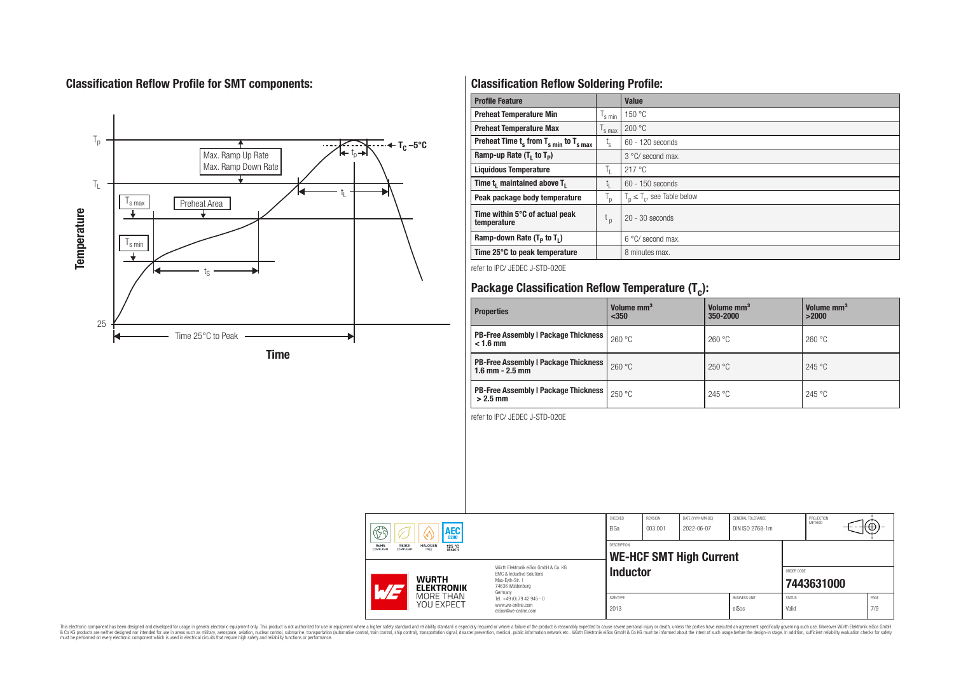# **Classification Reflow Profile for SMT components:**



# **Classification Reflow Soldering Profile:**

| <b>Profile Feature</b>                              |                    | Value                            |
|-----------------------------------------------------|--------------------|----------------------------------|
| <b>Preheat Temperature Min</b>                      | <sup>I</sup> s min | 150 °C                           |
| <b>Preheat Temperature Max</b>                      | 's max             | 200 °C                           |
| Preheat Time $t_s$ from $T_{s,min}$ to $T_{s,max}$  | $t_{\rm s}$        | 60 - 120 seconds                 |
| Ramp-up Rate $(T_1$ to $T_p$ )                      |                    | $3^{\circ}$ C/ second max.       |
| <b>Liquidous Temperature</b>                        | h.                 | 217°C                            |
| Time t <sub>i</sub> maintained above T <sub>1</sub> | t <sub>ı</sub>     | 60 - 150 seconds                 |
| Peak package body temperature                       | י"                 | $T_n \leq T_c$ , see Table below |
| Time within 5°C of actual peak<br>temperature       | t <sub>p</sub>     | $20 - 30$ seconds                |
| Ramp-down Rate $(T_p$ to $T_1$ )                    |                    | $6^{\circ}$ C/ second max.       |
| Time 25°C to peak temperature                       |                    | 8 minutes max.                   |

refer to IPC/ JEDEC J-STD-020E

# **Package Classification Reflow Temperature (T<sup>c</sup> ):**

| <b>Properties</b>                                                    | Volume mm <sup>3</sup><br>< 350 | Volume mm <sup>3</sup><br>350-2000 | Volume mm <sup>3</sup><br>>2000 |
|----------------------------------------------------------------------|---------------------------------|------------------------------------|---------------------------------|
| <b>PB-Free Assembly   Package Thickness  </b><br>$< 1.6$ mm          | 260 °C                          | 260 °C                             | 260 °C                          |
| <b>PB-Free Assembly   Package Thickness  </b><br>$1.6$ mm $- 2.5$ mm | 260 °C                          | 250 °C                             | 245 °C                          |
| <b>PB-Free Assembly   Package Thickness  </b><br>$>2.5$ mm           | 250 °C                          | 245 °C                             | 245 °C                          |

refer to IPC/ JEDEC J-STD-020E

| 63<br><b>AEC</b>                                                                              |                                                                                                                                | CHECKED<br>ElGa   | <b>REVISION</b><br>003.001 | DATE (YYYY-MM-DD)<br>2022-06-07 | <b>GENERAL TOLERANCE</b><br>DIN ISO 2768-1m |                        | PROJECTION<br>METHOD | ₩ |             |
|-----------------------------------------------------------------------------------------------|--------------------------------------------------------------------------------------------------------------------------------|-------------------|----------------------------|---------------------------------|---------------------------------------------|------------------------|----------------------|---|-------------|
| RoHS<br><b>REACh</b><br><b>HALOGEN</b><br>125 °C<br>GRADE 1<br>COMPLIANT<br>FREE<br>COMPLIANT |                                                                                                                                | DESCRIPTION       |                            | <b>WE-HCF SMT High Current</b>  |                                             |                        |                      |   |             |
| <b>WURTH</b><br>$\overline{\phantom{a}}$<br><b>ELEKTRONIK</b>                                 | Würth Flektronik eiSos GmbH & Co. KG<br><b>EMC &amp; Inductive Solutions</b><br>Max-Evth-Str. 1<br>74638 Waldenburg<br>Germany | <b>Inductor</b>   |                            |                                 |                                             | ORDER CODE             | 7443631000           |   |             |
| MORE THAN<br>YOU EXPECT                                                                       | Tel. +49 (0) 79 42 945 - 0<br>www.we-online.com<br>eiSos@we-online.com                                                         | SIZE/TYPE<br>2013 |                            |                                 | <b>BUSINESS UNIT</b><br>eiSos               | <b>STATUS</b><br>Valid |                      |   | PAGE<br>7/9 |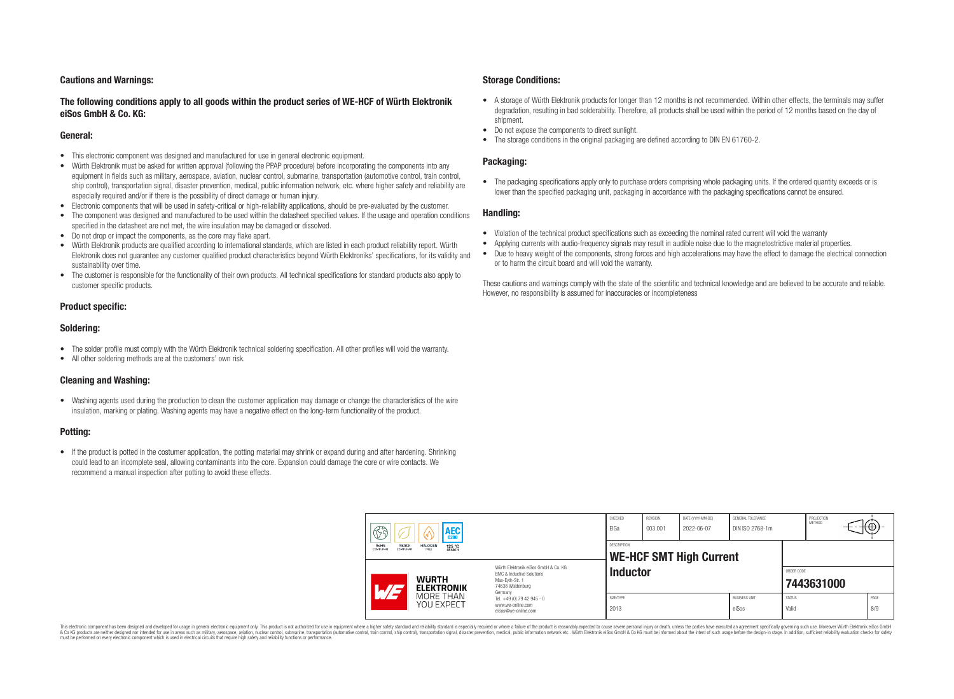#### **Cautions and Warnings:**

#### **The following conditions apply to all goods within the product series of WE-HCF of Würth Elektronik eiSos GmbH & Co. KG:**

#### **General:**

- This electronic component was designed and manufactured for use in general electronic equipment.
- Würth Elektronik must be asked for written approval (following the PPAP procedure) before incorporating the components into any equipment in fields such as military, aerospace, aviation, nuclear control, submarine, transportation (automotive control, train control, ship control), transportation signal, disaster prevention, medical, public information network, etc. where higher safety and reliability are especially required and/or if there is the possibility of direct damage or human injury.
- Electronic components that will be used in safety-critical or high-reliability applications, should be pre-evaluated by the customer.
- The component was designed and manufactured to be used within the datasheet specified values. If the usage and operation conditions specified in the datasheet are not met, the wire insulation may be damaged or dissolved.
- Do not drop or impact the components, as the core may flake apart.
- Würth Elektronik products are qualified according to international standards, which are listed in each product reliability report. Würth Elektronik does not guarantee any customer qualified product characteristics beyond Würth Elektroniks' specifications, for its validity and sustainability over time.
- The customer is responsible for the functionality of their own products. All technical specifications for standard products also apply to customer specific products.

#### **Product specific:**

#### **Soldering:**

- The solder profile must comply with the Würth Elektronik technical soldering specification. All other profiles will void the warranty.
- All other soldering methods are at the customers' own risk.

#### **Cleaning and Washing:**

• Washing agents used during the production to clean the customer application may damage or change the characteristics of the wire insulation, marking or plating. Washing agents may have a negative effect on the long-term functionality of the product.

#### **Potting:**

• If the product is potted in the costumer application, the potting material may shrink or expand during and after hardening. Shrinking could lead to an incomplete seal, allowing contaminants into the core. Expansion could damage the core or wire contacts. We recommend a manual inspection after potting to avoid these effects.

#### **Storage Conditions:**

- A storage of Würth Elektronik products for longer than 12 months is not recommended. Within other effects, the terminals may suffer degradation, resulting in bad solderability. Therefore, all products shall be used within the period of 12 months based on the day of shipment.
- Do not expose the components to direct sunlight.
- The storage conditions in the original packaging are defined according to DIN FN 61760-2.

#### **Packaging:**

• The packaging specifications apply only to purchase orders comprising whole packaging units. If the ordered quantity exceeds or is lower than the specified packaging unit, packaging in accordance with the packaging specifications cannot be ensured.

#### **Handling:**

- Violation of the technical product specifications such as exceeding the nominal rated current will void the warranty
- Applying currents with audio-frequency signals may result in audible noise due to the magnetostrictive material properties.
- Due to heavy weight of the components, strong forces and high accelerations may have the effect to damage the electrical connection or to harm the circuit board and will void the warranty.

These cautions and warnings comply with the state of the scientific and technical knowledge and are believed to be accurate and reliable. However, no responsibility is assumed for inaccuracies or incompleteness

| $\circledS$<br><b>AEC</b>                                                                     |                                                                                                                                | CHECKED<br>ElGa    | REVISION<br>003.001 | DATE (YYYY-MM-DD)<br>2022-06-07 | GENERAL TOLERANCE<br>DIN ISO 2768-1m |               | PROJECTION<br><b>METHOD</b> | ΨΨ,  |
|-----------------------------------------------------------------------------------------------|--------------------------------------------------------------------------------------------------------------------------------|--------------------|---------------------|---------------------------------|--------------------------------------|---------------|-----------------------------|------|
| REACh<br><b>RoHS</b><br><b>HALOGEN</b><br>125 °C<br>GRADE 1<br>COMPLIANT<br>FREE<br>COMPLIANT |                                                                                                                                | <b>DESCRIPTION</b> |                     | <b>WE-HCF SMT High Current</b>  |                                      |               |                             |      |
| <b>WURTH</b><br>WE<br><b>ELEKTRONIK</b>                                                       | Würth Flektronik eiSos GmbH & Co. KG<br><b>EMC &amp; Inductive Solutions</b><br>Max-Evth-Str. 1<br>74638 Waldenburg<br>Germany | <b>Inductor</b>    |                     |                                 |                                      | ORDER CODE    | 7443631000                  |      |
| MORE THAN<br>YOU EXPECT                                                                       | Tel. +49 (0) 79 42 945 - 0                                                                                                     | SIZE/TYPE          |                     |                                 | <b>BUSINESS UNIT</b>                 | <b>STATUS</b> |                             | PAGE |

This electronic component has been designed and developed for usage in general electronic equipment only. This product is not authorized for use in equipment where a higher safety standard and reliability standard si espec & Ook product a label and the membed of the seasuch as marked and as which such a membed and the such assume that income in the seasuch and the simulation and the such assume that include to the such a membed and the such